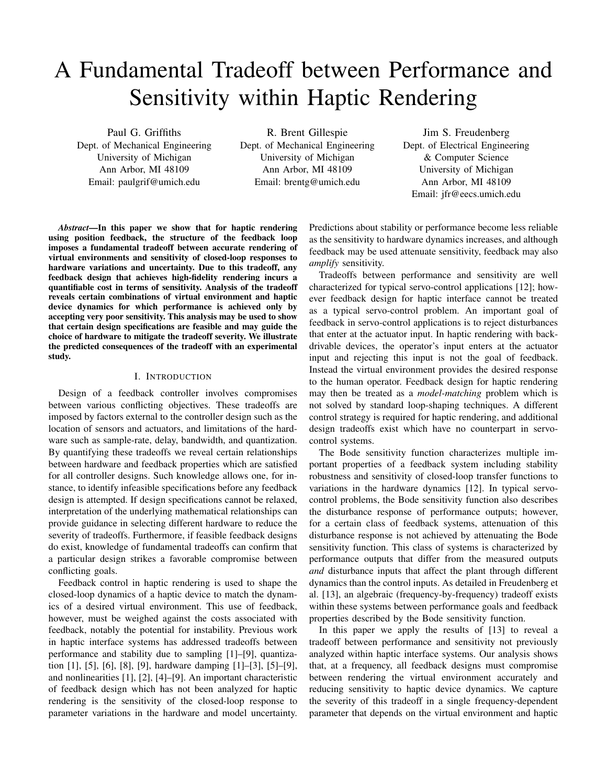# A Fundamental Tradeoff between Performance and Sensitivity within Haptic Rendering

Paul G. Griffiths Dept. of Mechanical Engineering University of Michigan Ann Arbor, MI 48109 Email: paulgrif@umich.edu

R. Brent Gillespie Dept. of Mechanical Engineering University of Michigan Ann Arbor, MI 48109 Email: brentg@umich.edu

Jim S. Freudenberg Dept. of Electrical Engineering & Computer Science University of Michigan Ann Arbor, MI 48109 Email: jfr@eecs.umich.edu

*Abstract*—In this paper we show that for haptic rendering using position feedback, the structure of the feedback loop imposes a fundamental tradeoff between accurate rendering of virtual environments and sensitivity of closed-loop responses to hardware variations and uncertainty. Due to this tradeoff, any feedback design that achieves high-fidelity rendering incurs a quantifiable cost in terms of sensitivity. Analysis of the tradeoff reveals certain combinations of virtual environment and haptic device dynamics for which performance is achieved only by accepting very poor sensitivity. This analysis may be used to show that certain design specifications are feasible and may guide the choice of hardware to mitigate the tradeoff severity. We illustrate the predicted consequences of the tradeoff with an experimental study.

### I. INTRODUCTION

Design of a feedback controller involves compromises between various conflicting objectives. These tradeoffs are imposed by factors external to the controller design such as the location of sensors and actuators, and limitations of the hardware such as sample-rate, delay, bandwidth, and quantization. By quantifying these tradeoffs we reveal certain relationships between hardware and feedback properties which are satisfied for all controller designs. Such knowledge allows one, for instance, to identify infeasible specifications before any feedback design is attempted. If design specifications cannot be relaxed, interpretation of the underlying mathematical relationships can provide guidance in selecting different hardware to reduce the severity of tradeoffs. Furthermore, if feasible feedback designs do exist, knowledge of fundamental tradeoffs can confirm that a particular design strikes a favorable compromise between conflicting goals.

Feedback control in haptic rendering is used to shape the closed-loop dynamics of a haptic device to match the dynamics of a desired virtual environment. This use of feedback, however, must be weighed against the costs associated with feedback, notably the potential for instability. Previous work in haptic interface systems has addressed tradeoffs between performance and stability due to sampling [1]–[9], quantization [1], [5], [6], [8], [9], hardware damping [1]–[3], [5]–[9], and nonlinearities [1], [2], [4]–[9]. An important characteristic of feedback design which has not been analyzed for haptic rendering is the sensitivity of the closed-loop response to parameter variations in the hardware and model uncertainty. Predictions about stability or performance become less reliable as the sensitivity to hardware dynamics increases, and although feedback may be used attenuate sensitivity, feedback may also *amplify* sensitivity.

Tradeoffs between performance and sensitivity are well characterized for typical servo-control applications [12]; however feedback design for haptic interface cannot be treated as a typical servo-control problem. An important goal of feedback in servo-control applications is to reject disturbances that enter at the actuator input. In haptic rendering with backdrivable devices, the operator's input enters at the actuator input and rejecting this input is not the goal of feedback. Instead the virtual environment provides the desired response to the human operator. Feedback design for haptic rendering may then be treated as a *model-matching* problem which is not solved by standard loop-shaping techniques. A different control strategy is required for haptic rendering, and additional design tradeoffs exist which have no counterpart in servocontrol systems.

The Bode sensitivity function characterizes multiple important properties of a feedback system including stability robustness and sensitivity of closed-loop transfer functions to variations in the hardware dynamics [12]. In typical servocontrol problems, the Bode sensitivity function also describes the disturbance response of performance outputs; however, for a certain class of feedback systems, attenuation of this disturbance response is not achieved by attenuating the Bode sensitivity function. This class of systems is characterized by performance outputs that differ from the measured outputs *and* disturbance inputs that affect the plant through different dynamics than the control inputs. As detailed in Freudenberg et al. [13], an algebraic (frequency-by-frequency) tradeoff exists within these systems between performance goals and feedback properties described by the Bode sensitivity function.

In this paper we apply the results of [13] to reveal a tradeoff between performance and sensitivity not previously analyzed within haptic interface systems. Our analysis shows that, at a frequency, all feedback designs must compromise between rendering the virtual environment accurately and reducing sensitivity to haptic device dynamics. We capture the severity of this tradeoff in a single frequency-dependent parameter that depends on the virtual environment and haptic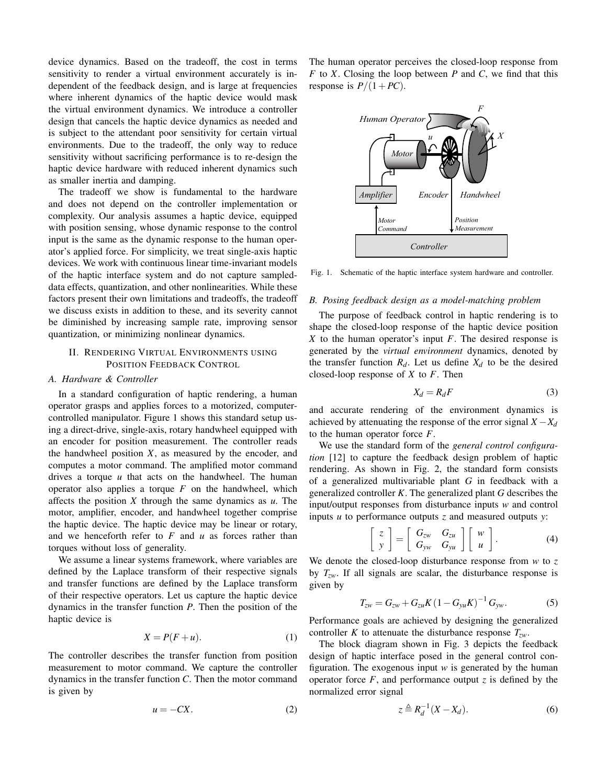device dynamics. Based on the tradeoff, the cost in terms sensitivity to render a virtual environment accurately is independent of the feedback design, and is large at frequencies where inherent dynamics of the haptic device would mask the virtual environment dynamics. We introduce a controller design that cancels the haptic device dynamics as needed and is subject to the attendant poor sensitivity for certain virtual environments. Due to the tradeoff, the only way to reduce sensitivity without sacrificing performance is to re-design the haptic device hardware with reduced inherent dynamics such as smaller inertia and damping.

The tradeoff we show is fundamental to the hardware and does not depend on the controller implementation or complexity. Our analysis assumes a haptic device, equipped with position sensing, whose dynamic response to the control input is the same as the dynamic response to the human operator's applied force. For simplicity, we treat single-axis haptic devices. We work with continuous linear time-invariant models of the haptic interface system and do not capture sampleddata effects, quantization, and other nonlinearities. While these factors present their own limitations and tradeoffs, the tradeoff we discuss exists in addition to these, and its severity cannot be diminished by increasing sample rate, improving sensor quantization, or minimizing nonlinear dynamics.

# II. RENDERING VIRTUAL ENVIRONMENTS USING POSITION FEEDBACK CONTROL

#### *A. Hardware & Controller*

In a standard configuration of haptic rendering, a human operator grasps and applies forces to a motorized, computercontrolled manipulator. Figure 1 shows this standard setup using a direct-drive, single-axis, rotary handwheel equipped with an encoder for position measurement. The controller reads the handwheel position *X*, as measured by the encoder, and computes a motor command. The amplified motor command drives a torque *u* that acts on the handwheel. The human operator also applies a torque *F* on the handwheel, which affects the position *X* through the same dynamics as *u*. The motor, amplifier, encoder, and handwheel together comprise the haptic device. The haptic device may be linear or rotary, and we henceforth refer to *F* and *u* as forces rather than torques without loss of generality.

We assume a linear systems framework, where variables are defined by the Laplace transform of their respective signals and transfer functions are defined by the Laplace transform of their respective operators. Let us capture the haptic device dynamics in the transfer function *P*. Then the position of the haptic device is

$$
X = P(F + u). \tag{1}
$$

The controller describes the transfer function from position measurement to motor command. We capture the controller dynamics in the transfer function *C*. Then the motor command is given by

$$
u = -CX.\t\t(2)
$$

The human operator perceives the closed-loop response from *F* to *X*. Closing the loop between *P* and *C*, we find that this response is  $P/(1+PC)$ .



Fig. 1. Schematic of the haptic interface system hardware and controller.

## *B. Posing feedback design as a model-matching problem*

The purpose of feedback control in haptic rendering is to shape the closed-loop response of the haptic device position *X* to the human operator's input *F*. The desired response is generated by the *virtual environment* dynamics, denoted by the transfer function  $R_d$ . Let us define  $X_d$  to be the desired closed-loop response of *X* to *F*. Then

$$
X_d = R_d F \tag{3}
$$

and accurate rendering of the environment dynamics is achieved by attenuating the response of the error signal  $X - X_d$ to the human operator force *F*.

We use the standard form of the *general control configuration* [12] to capture the feedback design problem of haptic rendering. As shown in Fig. 2, the standard form consists of a generalized multivariable plant *G* in feedback with a generalized controller *K*. The generalized plant *G* describes the input/output responses from disturbance inputs *w* and control inputs *u* to performance outputs *z* and measured outputs *y*:

$$
\left[\begin{array}{c} z \\ y \end{array}\right] = \left[\begin{array}{cc} G_{zw} & G_{zu} \\ G_{yw} & G_{yu} \end{array}\right] \left[\begin{array}{c} w \\ u \end{array}\right].\tag{4}
$$

We denote the closed-loop disturbance response from *w* to *z* by  $T_{zw}$ . If all signals are scalar, the disturbance response is given by

$$
T_{zw} = G_{zw} + G_{zu} K \left( 1 - G_{yu} K \right)^{-1} G_{yw}.
$$
 (5)

Performance goals are achieved by designing the generalized controller *K* to attenuate the disturbance response  $T_{zw}$ .

The block diagram shown in Fig. 3 depicts the feedback design of haptic interface posed in the general control configuration. The exogenous input *w* is generated by the human operator force  $F$ , and performance output  $\zeta$  is defined by the normalized error signal

$$
z \triangleq R_d^{-1}(X - X_d). \tag{6}
$$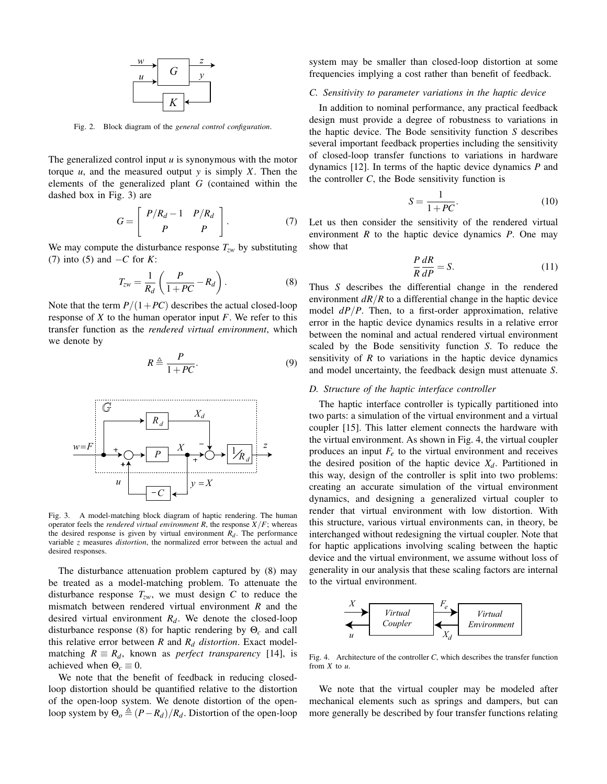

Fig. 2. Block diagram of the *general control configuration*.

The generalized control input *u* is synonymous with the motor torque *u*, and the measured output *y* is simply *X*. Then the elements of the generalized plant *G* (contained within the dashed box in Fig. 3) are

$$
G = \left[ \begin{array}{cc} P/R_d - 1 & P/R_d \\ P & P \end{array} \right]. \tag{7}
$$

We may compute the disturbance response  $T_{zw}$  by substituting (7) into (5) and −*C* for *K*:

$$
T_{zw} = \frac{1}{R_d} \left( \frac{P}{1+PC} - R_d \right). \tag{8}
$$

Note that the term  $P/(1+PC)$  describes the actual closed-loop response of *X* to the human operator input *F*. We refer to this transfer function as the *rendered virtual environment*, which we denote by

$$
R \triangleq \frac{P}{1+PC}.\tag{9}
$$



Fig. 3. A model-matching block diagram of haptic rendering. The human operator feels the *rendered virtual environment*  $R$ , the response  $X/F$ ; whereas the desired response is given by virtual environment  $R_d$ . The performance variable *z* measures *distortion*, the normalized error between the actual and desired responses.

The disturbance attenuation problem captured by (8) may be treated as a model-matching problem. To attenuate the disturbance response  $T_{zw}$ , we must design C to reduce the mismatch between rendered virtual environment *R* and the desired virtual environment *Rd*. We denote the closed-loop disturbance response (8) for haptic rendering by Θ*<sup>c</sup>* and call this relative error between  $R$  and  $R_d$  *distortion*. Exact modelmatching  $R \equiv R_d$ , known as *perfect transparency* [14], is achieved when  $\Theta_c \equiv 0$ .

We note that the benefit of feedback in reducing closedloop distortion should be quantified relative to the distortion of the open-loop system. We denote distortion of the openloop system by  $\Theta_o \triangleq (P - R_d)/R_d$ . Distortion of the open-loop system may be smaller than closed-loop distortion at some frequencies implying a cost rather than benefit of feedback.

## *C. Sensitivity to parameter variations in the haptic device*

In addition to nominal performance, any practical feedback design must provide a degree of robustness to variations in the haptic device. The Bode sensitivity function *S* describes several important feedback properties including the sensitivity of closed-loop transfer functions to variations in hardware dynamics [12]. In terms of the haptic device dynamics *P* and the controller  $C$ , the Bode sensitivity function is

$$
S = \frac{1}{1 + PC}.\tag{10}
$$

Let us then consider the sensitivity of the rendered virtual environment *R* to the haptic device dynamics *P*. One may show that

$$
\frac{P}{R}\frac{dR}{dP} = S.\t(11)
$$

Thus *S* describes the differential change in the rendered environment  $dR/R$  to a differential change in the haptic device model *dP*/*P*. Then, to a first-order approximation, relative error in the haptic device dynamics results in a relative error between the nominal and actual rendered virtual environment scaled by the Bode sensitivity function *S*. To reduce the sensitivity of *R* to variations in the haptic device dynamics and model uncertainty, the feedback design must attenuate *S*.

#### *D. Structure of the haptic interface controller*

The haptic interface controller is typically partitioned into two parts: a simulation of the virtual environment and a virtual coupler [15]. This latter element connects the hardware with the virtual environment. As shown in Fig. 4, the virtual coupler produces an input  $F_e$  to the virtual environment and receives the desired position of the haptic device  $X_d$ . Partitioned in this way, design of the controller is split into two problems: creating an accurate simulation of the virtual environment dynamics, and designing a generalized virtual coupler to render that virtual environment with low distortion. With this structure, various virtual environments can, in theory, be interchanged without redesigning the virtual coupler. Note that for haptic applications involving scaling between the haptic device and the virtual environment, we assume without loss of generality in our analysis that these scaling factors are internal to the virtual environment.



Fig. 4. Architecture of the controller *C*, which describes the transfer function from *X* to *u*.

We note that the virtual coupler may be modeled after mechanical elements such as springs and dampers, but can more generally be described by four transfer functions relating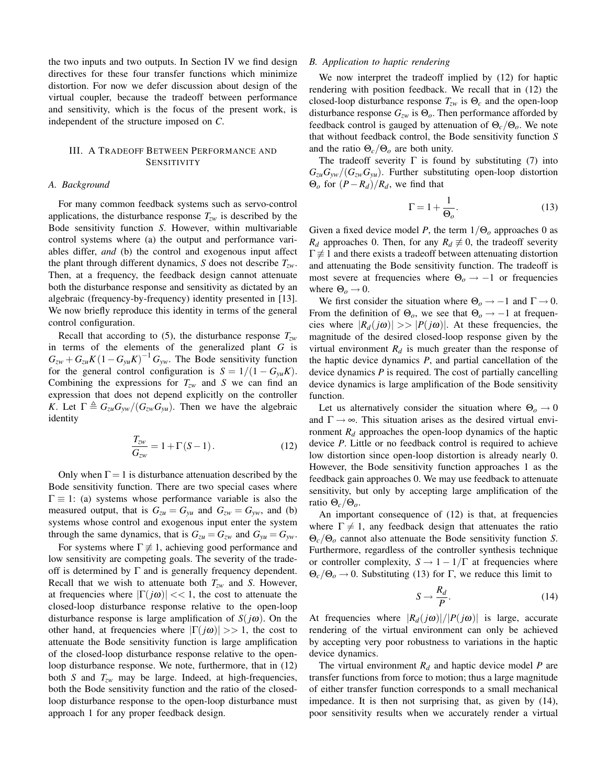the two inputs and two outputs. In Section IV we find design directives for these four transfer functions which minimize distortion. For now we defer discussion about design of the virtual coupler, because the tradeoff between performance and sensitivity, which is the focus of the present work, is independent of the structure imposed on *C*.

# III. A TRADEOFF BETWEEN PERFORMANCE AND SENSITIVITY

#### *A. Background*

For many common feedback systems such as servo-control applications, the disturbance response  $T_{zw}$  is described by the Bode sensitivity function *S*. However, within multivariable control systems where (a) the output and performance variables differ, *and* (b) the control and exogenous input affect the plant through different dynamics, *S* does not describe *Tzw*. Then, at a frequency, the feedback design cannot attenuate both the disturbance response and sensitivity as dictated by an algebraic (frequency-by-frequency) identity presented in [13]. We now briefly reproduce this identity in terms of the general control configuration.

Recall that according to (5), the disturbance response *Tzw* in terms of the elements of the generalized plant *G* is  $G_{zw} + G_{zu}K(1 - G_{yu}K)^{-1}G_{yw}$ . The Bode sensitivity function for the general control configuration is  $S = 1/(1 - G_{\gamma}K)$ . Combining the expressions for  $T_{zw}$  and *S* we can find an expression that does not depend explicitly on the controller *K*. Let  $\Gamma \triangleq G_{zu}G_{yw}/(G_{zw}G_{yu})$ . Then we have the algebraic identity

$$
\frac{T_{zw}}{G_{zw}} = 1 + \Gamma(S - 1). \tag{12}
$$

Only when  $\Gamma = 1$  is disturbance attenuation described by the Bode sensitivity function. There are two special cases where  $\Gamma \equiv 1$ : (a) systems whose performance variable is also the measured output, that is  $G_{zu} = G_{yu}$  and  $G_{zw} = G_{yw}$ , and (b) systems whose control and exogenous input enter the system through the same dynamics, that is  $G_{zu} = G_{zw}$  and  $G_{yu} = G_{yw}$ .

For systems where  $\Gamma \not\equiv 1$ , achieving good performance and low sensitivity are competing goals. The severity of the tradeoff is determined by  $\Gamma$  and is generally frequency dependent. Recall that we wish to attenuate both  $T_{zw}$  and *S*. However, at frequencies where  $|\Gamma(j\omega)| \ll 1$ , the cost to attenuate the closed-loop disturbance response relative to the open-loop disturbance response is large amplification of  $S(j\omega)$ . On the other hand, at frequencies where  $|\Gamma(j\omega)| >> 1$ , the cost to attenuate the Bode sensitivity function is large amplification of the closed-loop disturbance response relative to the openloop disturbance response. We note, furthermore, that in (12) both *S* and  $T_{zw}$  may be large. Indeed, at high-frequencies, both the Bode sensitivity function and the ratio of the closedloop disturbance response to the open-loop disturbance must approach 1 for any proper feedback design.

#### *B. Application to haptic rendering*

We now interpret the tradeoff implied by (12) for haptic rendering with position feedback. We recall that in (12) the closed-loop disturbance response  $T_{zw}$  is  $\Theta_c$  and the open-loop disturbance response *Gzw* is Θ*o*. Then performance afforded by feedback control is gauged by attenuation of Θ*c*/Θ*o*. We note that without feedback control, the Bode sensitivity function *S* and the ratio Θ*c*/Θ*<sup>o</sup>* are both unity.

The tradeoff severity  $\Gamma$  is found by substituting (7) into  $G_{zu}G_{yw}/(G_{zw}G_{yu})$ . Further substituting open-loop distortion  $\Theta_o$  for  $(P - R_d)/R_d$ , we find that

$$
\Gamma = 1 + \frac{1}{\Theta_o}.\tag{13}
$$

Given a fixed device model *P*, the term  $1/\Theta$ <sub>o</sub> approaches 0 as *R<sub>d</sub>* approaches 0. Then, for any  $R_d \not\equiv 0$ , the tradeoff severity  $\Gamma \neq 1$  and there exists a tradeoff between attenuating distortion and attenuating the Bode sensitivity function. The tradeoff is most severe at frequencies where  $\Theta$ <sub>o</sub>  $\rightarrow$  -1 or frequencies where  $\Theta$ <sub>*o*</sub>  $\rightarrow$  0.

We first consider the situation where  $\Theta_o \rightarrow -1$  and  $\Gamma \rightarrow 0$ . From the definition of  $\Theta_o$ , we see that  $\Theta_o \rightarrow -1$  at frequencies where  $|R_d(j\omega)| \gg |P(j\omega)|$ . At these frequencies, the magnitude of the desired closed-loop response given by the virtual environment  $R_d$  is much greater than the response of the haptic device dynamics *P*, and partial cancellation of the device dynamics *P* is required. The cost of partially cancelling device dynamics is large amplification of the Bode sensitivity function.

Let us alternatively consider the situation where  $\Theta$ <sub>*o*</sub>  $\rightarrow$  0 and  $\Gamma \rightarrow \infty$ . This situation arises as the desired virtual environment  $R_d$  approaches the open-loop dynamics of the haptic device *P*. Little or no feedback control is required to achieve low distortion since open-loop distortion is already nearly 0. However, the Bode sensitivity function approaches 1 as the feedback gain approaches 0. We may use feedback to attenuate sensitivity, but only by accepting large amplification of the ratio Θ*c*/Θ*o*.

An important consequence of (12) is that, at frequencies where  $\Gamma \neq 1$ , any feedback design that attenuates the ratio Θ*c*/Θ*<sup>o</sup>* cannot also attenuate the Bode sensitivity function *S*. Furthermore, regardless of the controller synthesis technique or controller complexity,  $S \rightarrow 1 - 1/\Gamma$  at frequencies where  $\Theta_c/\Theta_o \rightarrow 0$ . Substituting (13) for Γ, we reduce this limit to

$$
S \to \frac{R_d}{P}.\tag{14}
$$

At frequencies where  $|R_d(j\omega)|/|P(j\omega)|$  is large, accurate rendering of the virtual environment can only be achieved by accepting very poor robustness to variations in the haptic device dynamics.

The virtual environment  $R_d$  and haptic device model *P* are transfer functions from force to motion; thus a large magnitude of either transfer function corresponds to a small mechanical impedance. It is then not surprising that, as given by (14), poor sensitivity results when we accurately render a virtual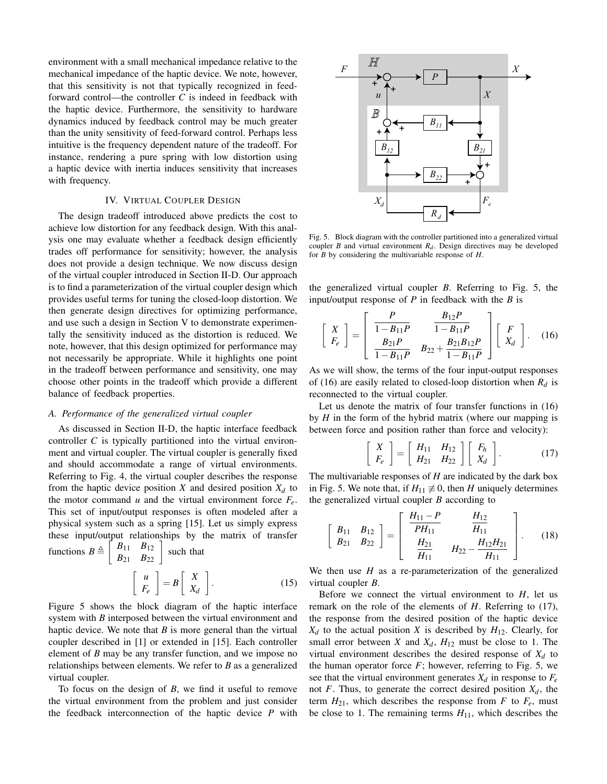environment with a small mechanical impedance relative to the mechanical impedance of the haptic device. We note, however, that this sensitivity is not that typically recognized in feedforward control—the controller *C* is indeed in feedback with the haptic device. Furthermore, the sensitivity to hardware dynamics induced by feedback control may be much greater than the unity sensitivity of feed-forward control. Perhaps less intuitive is the frequency dependent nature of the tradeoff. For instance, rendering a pure spring with low distortion using a haptic device with inertia induces sensitivity that increases with frequency.

### IV. VIRTUAL COUPLER DESIGN

The design tradeoff introduced above predicts the cost to achieve low distortion for any feedback design. With this analysis one may evaluate whether a feedback design efficiently trades off performance for sensitivity; however, the analysis does not provide a design technique. We now discuss design of the virtual coupler introduced in Section II-D. Our approach is to find a parameterization of the virtual coupler design which provides useful terms for tuning the closed-loop distortion. We then generate design directives for optimizing performance, and use such a design in Section V to demonstrate experimentally the sensitivity induced as the distortion is reduced. We note, however, that this design optimized for performance may not necessarily be appropriate. While it highlights one point in the tradeoff between performance and sensitivity, one may choose other points in the tradeoff which provide a different balance of feedback properties.

#### *A. Performance of the generalized virtual coupler*

As discussed in Section II-D, the haptic interface feedback controller *C* is typically partitioned into the virtual environment and virtual coupler. The virtual coupler is generally fixed and should accommodate a range of virtual environments. Referring to Fig. 4, the virtual coupler describes the response from the haptic device position *X* and desired position  $X_d$  to the motor command *u* and the virtual environment force  $F_e$ . This set of input/output responses is often modeled after a physical system such as a spring [15]. Let us simply express these input/output relationships by the matrix of transfer  $\lceil R \rceil$ *B*<sub>12</sub> *B*<sub>12</sub>

functions 
$$
B \triangleq \begin{bmatrix} B_{11} & B_{12} \\ B_{21} & B_{22} \end{bmatrix}
$$
 such that  

$$
\begin{bmatrix} u \\ F_e \end{bmatrix} = B \begin{bmatrix} X \\ X_d \end{bmatrix}.
$$
 (15)

Figure 5 shows the block diagram of the haptic interface system with *B* interposed between the virtual environment and haptic device. We note that  $B$  is more general than the virtual coupler described in [1] or extended in [15]. Each controller element of *B* may be any transfer function, and we impose no relationships between elements. We refer to *B* as a generalized virtual coupler.

To focus on the design of *B*, we find it useful to remove the virtual environment from the problem and just consider the feedback interconnection of the haptic device *P* with



Fig. 5. Block diagram with the controller partitioned into a generalized virtual coupler *B* and virtual environment  $R_d$ . Design directives may be developed for *B* by considering the multivariable response of *H*.

the generalized virtual coupler *B*. Referring to Fig. 5, the input/output response of *P* in feedback with the *B* is

$$
\begin{bmatrix} X \\ F_e \end{bmatrix} = \begin{bmatrix} \frac{P}{1 - B_{11}P} & \frac{B_{12}P}{1 - B_{11}P} \\ \frac{B_{21}P}{1 - B_{11}P} & B_{22} + \frac{B_{21}B_{12}P}{1 - B_{11}P} \end{bmatrix} \begin{bmatrix} F \\ X_d \end{bmatrix}.
$$
 (16)

As we will show, the terms of the four input-output responses of (16) are easily related to closed-loop distortion when  $R_d$  is reconnected to the virtual coupler.

Let us denote the matrix of four transfer functions in (16) by *H* in the form of the hybrid matrix (where our mapping is between force and position rather than force and velocity):

$$
\left[\begin{array}{c} X \\ F_e \end{array}\right] = \left[\begin{array}{cc} H_{11} & H_{12} \\ H_{21} & H_{22} \end{array}\right] \left[\begin{array}{c} F_h \\ X_d \end{array}\right].\tag{17}
$$

The multivariable responses of *H* are indicated by the dark box in Fig. 5. We note that, if  $H_{11} \not\equiv 0$ , then *H* uniquely determines the generalized virtual coupler *B* according to

$$
\left[\begin{array}{cc} B_{11} & B_{12} \\ B_{21} & B_{22} \end{array}\right] = \left[\begin{array}{cc} \frac{H_{11} - P}{PH_{11}} & \frac{H_{12}}{H_{11}} \\ \frac{H_{21}}{H_{11}} & H_{22} - \frac{H_{12}H_{21}}{H_{11}} \end{array}\right].
$$
 (18)

We then use  $H$  as a re-parameterization of the generalized virtual coupler *B*.

Before we connect the virtual environment to  $H$ , let us remark on the role of the elements of *H*. Referring to (17), the response from the desired position of the haptic device  $X_d$  to the actual position *X* is described by  $H_{12}$ . Clearly, for small error between *X* and  $X_d$ ,  $H_{12}$  must be close to 1. The virtual environment describes the desired response of  $X_d$  to the human operator force  $F$ ; however, referring to Fig. 5, we see that the virtual environment generates  $X_d$  in response to  $F_e$ not  $F$ . Thus, to generate the correct desired position  $X_d$ , the term  $H_{21}$ , which describes the response from *F* to  $F_e$ , must be close to 1. The remaining terms  $H_{11}$ , which describes the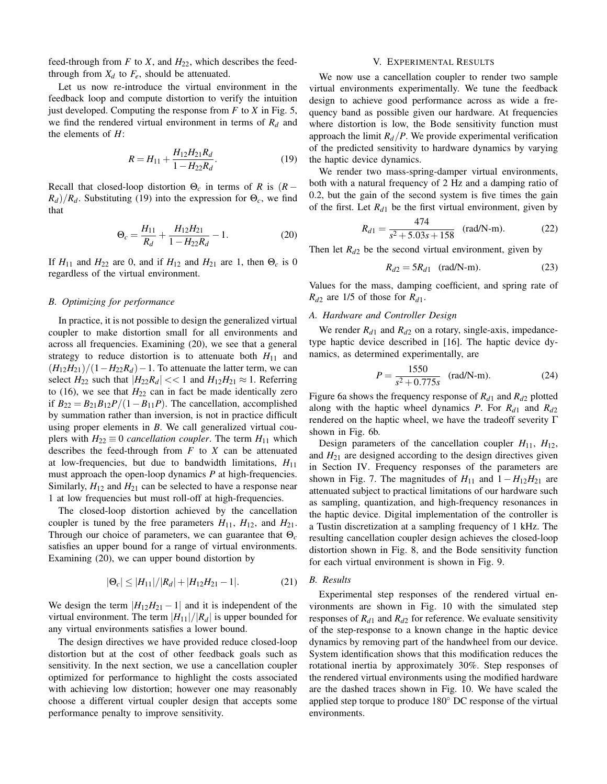feed-through from  $F$  to  $X$ , and  $H_{22}$ , which describes the feedthrough from  $X_d$  to  $F_e$ , should be attenuated.

Let us now re-introduce the virtual environment in the feedback loop and compute distortion to verify the intuition just developed. Computing the response from *F* to *X* in Fig. 5, we find the rendered virtual environment in terms of *R<sup>d</sup>* and the elements of *H*:

$$
R = H_{11} + \frac{H_{12}H_{21}R_d}{1 - H_{22}R_d}.
$$
 (19)

Recall that closed-loop distortion  $\Theta_c$  in terms of *R* is  $(R R_d$ )/ $R_d$ . Substituting (19) into the expression for  $\Theta_c$ , we find that

$$
\Theta_c = \frac{H_{11}}{R_d} + \frac{H_{12}H_{21}}{1 - H_{22}R_d} - 1.
$$
 (20)

If  $H_{11}$  and  $H_{22}$  are 0, and if  $H_{12}$  and  $H_{21}$  are 1, then  $\Theta_c$  is 0 regardless of the virtual environment.

#### *B. Optimizing for performance*

In practice, it is not possible to design the generalized virtual coupler to make distortion small for all environments and across all frequencies. Examining (20), we see that a general strategy to reduce distortion is to attenuate both  $H_{11}$  and  $(H_{12}H_{21})/(1-H_{22}R_d)-1$ . To attenuate the latter term, we can select  $H_{22}$  such that  $|H_{22}R_d| << 1$  and  $H_{12}H_{21} \approx 1$ . Referring to  $(16)$ , we see that  $H_{22}$  can in fact be made identically zero if  $B_{22} = B_{21}B_{12}P/(1 - B_{11}P)$ . The cancellation, accomplished by summation rather than inversion, is not in practice difficult using proper elements in *B*. We call generalized virtual couplers with  $H_{22} \equiv 0$  *cancellation coupler*. The term  $H_{11}$  which describes the feed-through from *F* to *X* can be attenuated at low-frequencies, but due to bandwidth limitations,  $H_{11}$ must approach the open-loop dynamics *P* at high-frequencies. Similarly,  $H_{12}$  and  $H_{21}$  can be selected to have a response near 1 at low frequencies but must roll-off at high-frequencies.

The closed-loop distortion achieved by the cancellation coupler is tuned by the free parameters  $H_{11}$ ,  $H_{12}$ , and  $H_{21}$ . Through our choice of parameters, we can guarantee that Θ*<sup>c</sup>* satisfies an upper bound for a range of virtual environments. Examining (20), we can upper bound distortion by

$$
|\Theta_c| \le |H_{11}|/|R_d| + |H_{12}H_{21} - 1|.
$$
 (21)

We design the term  $|H_{12}H_{21} - 1|$  and it is independent of the virtual environment. The term  $|H_{11}|/|R_d|$  is upper bounded for any virtual environments satisfies a lower bound.

The design directives we have provided reduce closed-loop distortion but at the cost of other feedback goals such as sensitivity. In the next section, we use a cancellation coupler optimized for performance to highlight the costs associated with achieving low distortion; however one may reasonably choose a different virtual coupler design that accepts some performance penalty to improve sensitivity.

#### V. EXPERIMENTAL RESULTS

We now use a cancellation coupler to render two sample virtual environments experimentally. We tune the feedback design to achieve good performance across as wide a frequency band as possible given our hardware. At frequencies where distortion is low, the Bode sensitivity function must approach the limit  $R_d/P$ . We provide experimental verification of the predicted sensitivity to hardware dynamics by varying the haptic device dynamics.

We render two mass-spring-damper virtual environments, both with a natural frequency of 2 Hz and a damping ratio of 0.2, but the gain of the second system is five times the gain of the first. Let  $R_{d1}$  be the first virtual environment, given by

$$
R_{d1} = \frac{474}{s^2 + 5.03s + 158} \quad \text{(rad/N-m)}.\tag{22}
$$

Then let  $R_{d2}$  be the second virtual environment, given by

$$
R_{d2} = 5R_{d1} \quad \text{(rad/N-m)}.\tag{23}
$$

Values for the mass, damping coefficient, and spring rate of *Rd*<sup>2</sup> are 1/5 of those for *Rd*1.

## *A. Hardware and Controller Design*

We render  $R_{d1}$  and  $R_{d2}$  on a rotary, single-axis, impedancetype haptic device described in [16]. The haptic device dynamics, as determined experimentally, are

$$
P = \frac{1550}{s^2 + 0.775s} \quad \text{(rad/N-m)}.
$$
 (24)

Figure 6a shows the frequency response of  $R_{d1}$  and  $R_{d2}$  plotted along with the haptic wheel dynamics *P*. For *Rd*<sup>1</sup> and *Rd*<sup>2</sup> rendered on the haptic wheel, we have the tradeoff severity Γ shown in Fig. 6b.

Design parameters of the cancellation coupler  $H_{11}$ ,  $H_{12}$ , and  $H_{21}$  are designed according to the design directives given in Section IV. Frequency responses of the parameters are shown in Fig. 7. The magnitudes of  $H_{11}$  and  $1 - H_{12}H_{21}$  are attenuated subject to practical limitations of our hardware such as sampling, quantization, and high-frequency resonances in the haptic device. Digital implementation of the controller is a Tustin discretization at a sampling frequency of 1 kHz. The resulting cancellation coupler design achieves the closed-loop distortion shown in Fig. 8, and the Bode sensitivity function for each virtual environment is shown in Fig. 9.

### *B. Results*

Experimental step responses of the rendered virtual environments are shown in Fig. 10 with the simulated step responses of  $R_{d1}$  and  $R_{d2}$  for reference. We evaluate sensitivity of the step-response to a known change in the haptic device dynamics by removing part of the handwheel from our device. System identification shows that this modification reduces the rotational inertia by approximately 30%. Step responses of the rendered virtual environments using the modified hardware are the dashed traces shown in Fig. 10. We have scaled the applied step torque to produce 180◦ DC response of the virtual environments.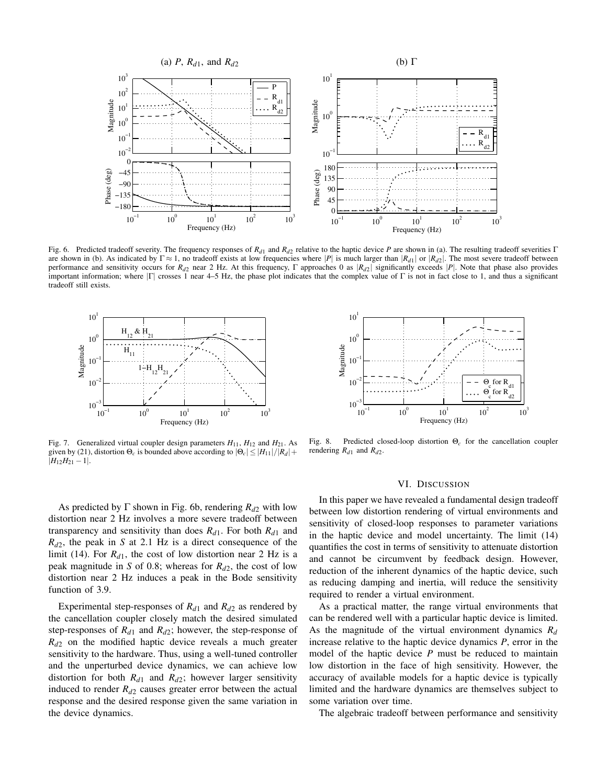

Fig. 6. Predicted tradeoff severity. The frequency responses of *Rd*<sup>1</sup> and *Rd*<sup>2</sup> relative to the haptic device *P* are shown in (a). The resulting tradeoff severities Γ are shown in (b). As indicated by  $\Gamma \approx 1$ , no tradeoff exists at low frequencies where |*P*| is much larger than  $|R_{d1}|$  or  $|R_{d2}|$ . The most severe tradeoff between performance and sensitivity occurs for *Rd*<sup>2</sup> near 2 Hz. At this frequency, Γ approaches 0 as |*Rd*2| significantly exceeds |*P*|. Note that phase also provides important information; where  $|\Gamma|$  crosses 1 near 4–5 Hz, the phase plot indicates that the complex value of  $\Gamma$  is not in fact close to 1, and thus a significant tradeoff still exists.



Fig. 7. Generalized virtual coupler design parameters  $H_{11}$ ,  $H_{12}$  and  $H_{21}$ . As given by (21), distortion  $\Theta_c$  is bounded above according to  $|\Theta_c| \le |H_{11}|/|R_d| +$  $|H_{12}H_{21}-1|$ .

As predicted by  $\Gamma$  shown in Fig. 6b, rendering  $R_{d2}$  with low distortion near 2 Hz involves a more severe tradeoff between transparency and sensitivity than does  $R_{d1}$ . For both  $R_{d1}$  and *Rd*2, the peak in *S* at 2.1 Hz is a direct consequence of the limit (14). For  $R_{d1}$ , the cost of low distortion near 2 Hz is a peak magnitude in *S* of 0.8; whereas for  $R_{d2}$ , the cost of low distortion near 2 Hz induces a peak in the Bode sensitivity function of 3.9.

Experimental step-responses of  $R_{d1}$  and  $R_{d2}$  as rendered by the cancellation coupler closely match the desired simulated step-responses of  $R_{d1}$  and  $R_{d2}$ ; however, the step-response of  $R_{d2}$  on the modified haptic device reveals a much greater sensitivity to the hardware. Thus, using a well-tuned controller and the unperturbed device dynamics, we can achieve low distortion for both  $R_{d1}$  and  $R_{d2}$ ; however larger sensitivity induced to render  $R_{d2}$  causes greater error between the actual response and the desired response given the same variation in the device dynamics.



Fig. 8. Predicted closed-loop distortion Θ*<sup>c</sup>* for the cancellation coupler rendering  $R_{d1}$  and  $R_{d2}$ .

#### VI. DISCUSSION

In this paper we have revealed a fundamental design tradeoff between low distortion rendering of virtual environments and sensitivity of closed-loop responses to parameter variations in the haptic device and model uncertainty. The limit (14) quantifies the cost in terms of sensitivity to attenuate distortion and cannot be circumvent by feedback design. However, reduction of the inherent dynamics of the haptic device, such as reducing damping and inertia, will reduce the sensitivity required to render a virtual environment.

As a practical matter, the range virtual environments that can be rendered well with a particular haptic device is limited. As the magnitude of the virtual environment dynamics  $R_d$ increase relative to the haptic device dynamics *P*, error in the model of the haptic device *P* must be reduced to maintain low distortion in the face of high sensitivity. However, the accuracy of available models for a haptic device is typically limited and the hardware dynamics are themselves subject to some variation over time.

The algebraic tradeoff between performance and sensitivity